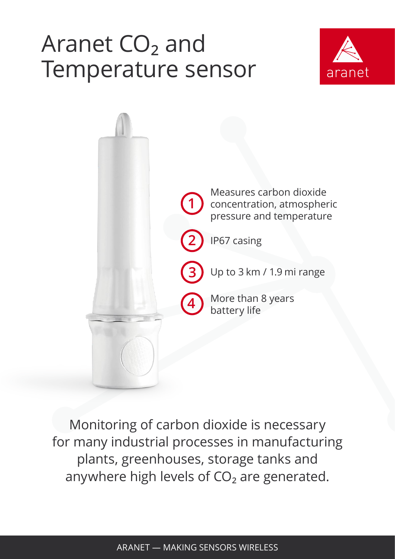## Aranet CO<sub>2</sub> and<br>Tegenes is the se Temperature sensor





Monitoring of carbon dioxide is necessary for many industrial processes in manufacturing plants, greenhouses, storage tanks and anywhere high levels of  $CO<sub>2</sub>$  are generated.